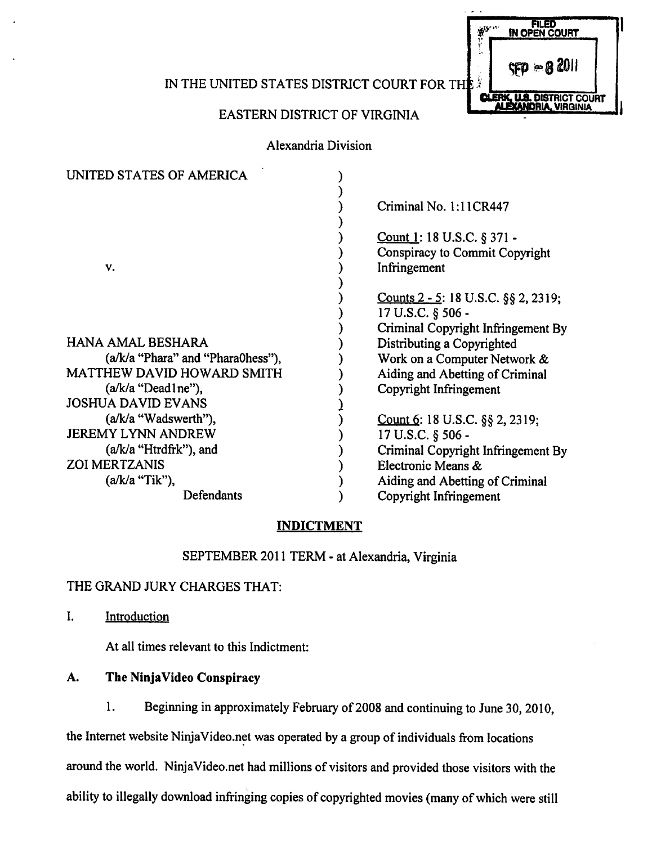IN THE UNITED STATES DISTRICT COURT FOR THE

# EASTERN DISTRICT OF VIRGINIA

Alexandria Division

| UNITED STATES OF AMERICA            |                                         |
|-------------------------------------|-----------------------------------------|
|                                     | Criminal No. 1:11CR447                  |
|                                     | Count 1: 18 U.S.C. § 371 -              |
|                                     | Conspiracy to Commit Copyright          |
| V.                                  | Infringement                            |
|                                     |                                         |
|                                     | Counts 2 - 5: 18 U.S.C. $\S$ § 2, 2319; |
|                                     | 17 U.S.C. § 506 -                       |
|                                     | Criminal Copyright Infringement By      |
| HANA AMAL BESHARA                   | Distributing a Copyrighted              |
| $(a/k/a$ "Phara" and "Phara0hess"), | Work on a Computer Network &            |
| <b>MATTHEW DAVID HOWARD SMITH</b>   | Aiding and Abetting of Criminal         |
| $(a/k/a$ "Dead lne"),               | Copyright Infringement                  |
| <b>JOSHUA DAVID EVANS</b>           |                                         |
| (a/k/a "Wadswerth"),                | Count 6: 18 U.S.C. $\S$ § 2, 2319;      |
| <b>JEREMY LYNN ANDREW</b>           | 17 U.S.C. § 506 -                       |
| $(a/k/a$ "Htrdfrk"), and            | Criminal Copyright Infringement By      |
| <b>ZOI MERTZANIS</b>                | Electronic Means &                      |
| $(a/k/a$ "Tik"),                    | Aiding and Abetting of Criminal         |
| Defendants                          | Copyright Infringement                  |

## *INDICTMENT*

SEPTEMBER 2011 TERM - at Alexandria, Virginia

## THE GRAND JURY CHARGES THAT:

I. Introduction

At all times relevant to this Indictment:

# *A. The NinjaVideo Conspiracy*

1. Beginning in approximately February of 2008 and continuing to June 30,2010,

the Internet website NinjaVideo.net was operated by a group of individuals from locations around the world. NinjaVideo.net had millions of visitors and provided those visitors with the

ability to illegally download infringing copies of copyrighted movies (many of which were still

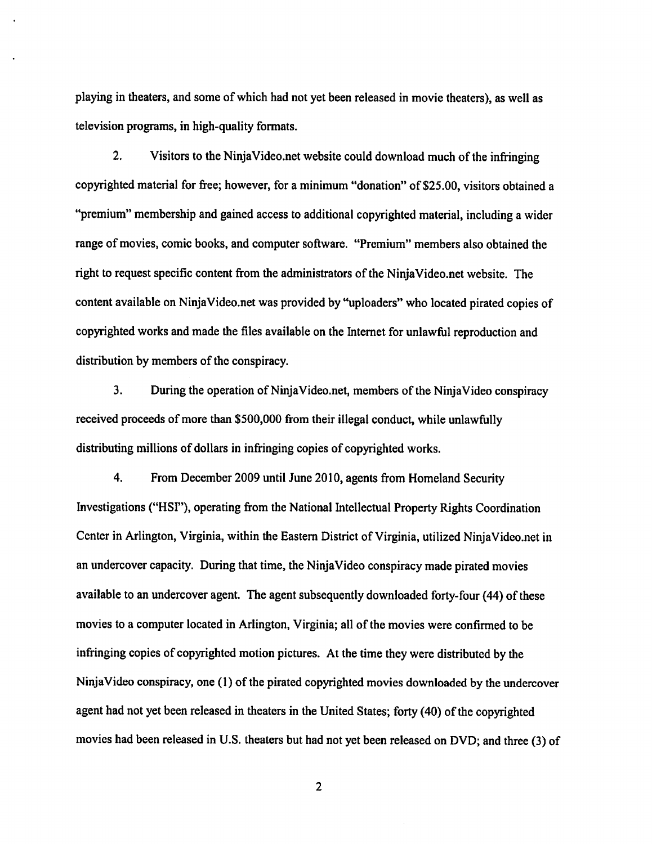playing in theaters, and some of which had not yet been released in movie theaters), as well as television programs, in high-quality formats.

2. Visitors to the NinjaVideo.net website could download much of the infringing copyrighted material for free; however, for a minimum "donation" of \$25.00, visitors obtained a "premium" membership and gained access to additional copyrighted material, including a wider range of movies, comic books, and computer software. "Premium" members also obtained the right to request specific content from the administrators of the NinjaVideo.net website. The content available on NinjaVideo.net was provided by "uploaders" who located pirated copies of copyrighted works and made the files available on the Internet for unlawful reproduction and distribution by members of the conspiracy.

3. During the operation of NinjaVideo.net, members of the NinjaVideo conspiracy received proceeds of more than \$500,000 from their illegal conduct, while unlawfully distributing millions of dollars in infringing copies of copyrighted works.

4. From December 2009 until June 2010, agents from Homeland Security Investigations ("HSI"), operating from the National Intellectual Property Rights Coordination Center in Arlington, Virginia, within the Eastern District of Virginia, utilized NinjaVideo.net in an undercover capacity. During that time, the NinjaVideo conspiracy made pirated movies available to an undercover agent. The agent subsequently downloaded forty-four (44) of these movies to a computer located in Arlington, Virginia; all of the movies were confirmed to be infringing copies of copyrighted motion pictures. At the time they were distributed by the NinjaVideo conspiracy, one (1) of the pirated copyrighted movies downloaded by the undercover agent had not yet been released in theaters in the United States; forty (40) of the copyrighted movies had been released in U.S. theaters but had not yet been released on DVD; and three (3) of

 $\overline{2}$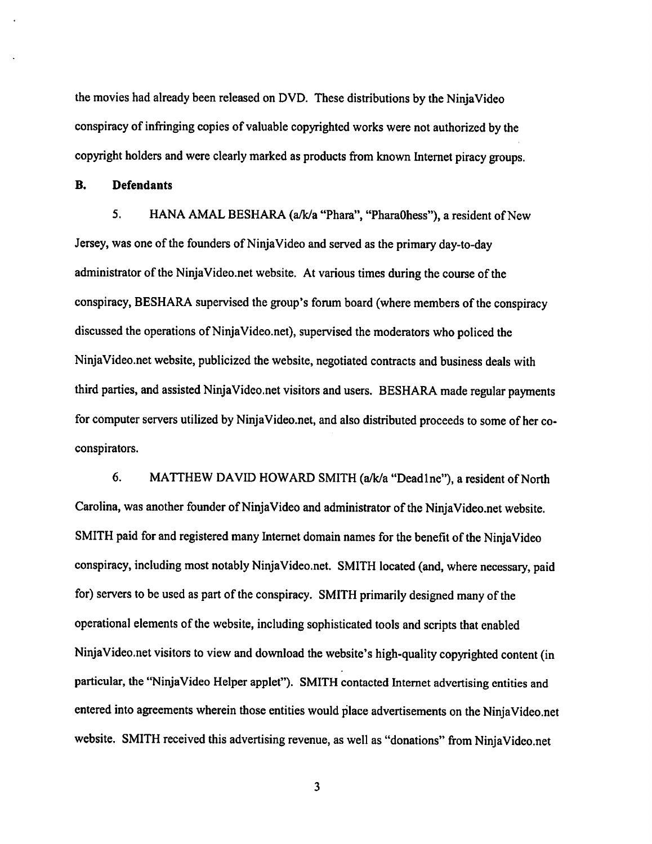the movies had already been released on DVD. These distributions by the NinjaVideo conspiracy of infringing copies of valuable copyrighted works were not authorized by the copyright holders andwere clearly marked as products from known Internet piracy groups.

*B. Defendants*

5. HANA AMAL BESHARA (a/k/a "Phara", "Phara0hess"), a resident of New Jersey, was one of the founders of NinjaVideo and served as the primary day-to-day administrator of the NinjaVideo.net website. At various times during the course of the conspiracy, BESHARA supervised the group's forum board (where members of the conspiracy discussed the operations of NinjaVideo.net), supervised the moderators who policed the NinjaVideo.net website, publicized the website, negotiated contracts and business deals with third parties, and assisted NinjaVideo.net visitors and users. BESHARA made regular payments for computer servers utilized by NinjaVideo.net, and also distributed proceeds to some of her coconspirators.

6. MATTHEW DAVID HOWARD SMITH (a/k/a"Deadlne"), a resident of North Carolina, was another founder of NinjaVideo and administrator of the NinjaVideo.net website. SMITH paid for and registered many Internet domain names for the benefit of the NinjaVideo conspiracy, including most notably NinjaVideo.net. SMITH located (and, where necessary, paid for) servers to be used as part of the conspiracy. SMITH primarily designed many of the operational elements of the website, including sophisticated tools and scripts that enabled NinjaVideo.net visitors to view and download the website's high-quality copyrighted content (in particular, the "NinjaVideo Helper applet"). SMITH contacted Internet advertising entities and entered into agreements wherein those entities would place advertisements onthe NinjaVideo.net website. SMITH received this advertising revenue, as well as "donations" from NinjaVideo.net

 $\overline{\mathbf{3}}$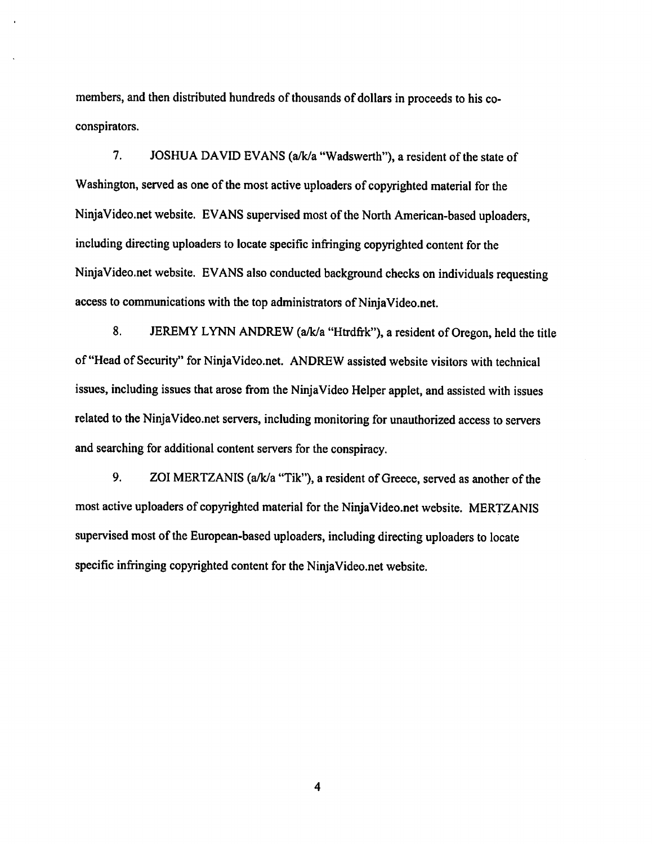members, and then distributed hundreds of thousands of dollars in proceeds to his coconspirators.

7. JOSHUA DAVID EVANS (a/k/a "Wadswerth"), a resident of the state of Washington, served as one of the most active uploaders of copyrighted material for the NinjaVideo.net website. EVANS supervised most of the North American-based uploaders, including directing uploaders to locate specific infringing copyrighted content for the NinjaVideo.net website. EVANS also conducted background checks on individuals requesting access to communications with the top administrators of NinjaVideo.net.

8. JEREMY LYNN ANDREW (a/k/a "Htrdfrk"), a resident of Oregon, held the title of "Head of Security" for NinjaVideo.net. ANDREW assisted website visitors with technical issues, including issues that arose from the NinjaVideo Helper applet, and assisted with issues related to the NinjaVideo.net servers, including monitoring for unauthorized access to servers and searching for additional content servers for the conspiracy.

9. ZOI MERTZANIS (a/k/a "Tik"), a resident of Greece, served as another of the most active uploaders of copyrighted material for the NinjaVideo.net website. MERTZANIS supervised most of the European-based uploaders, including directing uploaders to locate specific infringing copyrighted content for the NinjaVideo.net website.

 $\overline{\mathbf{4}}$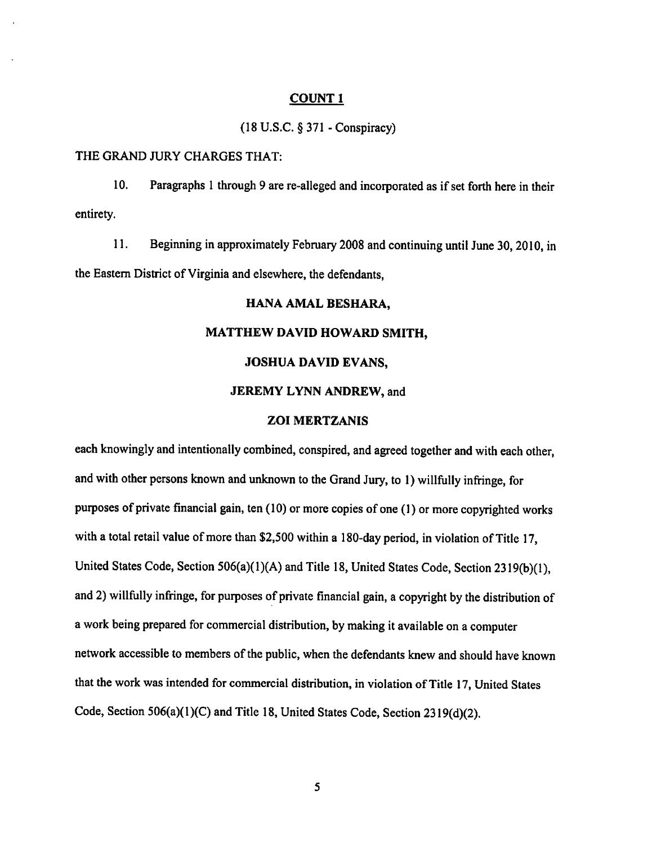(18U.S.C. §371-Conspiracy)

#### THE GRAND JURY CHARGES THAT:

10. Paragraphs 1 through 9 are re-alleged and incorporated as if set forth here in their entirety.

11. Beginning in approximately February 2008 and continuing until June 30, 2010, in the Eastern District of Virginia and elsewhere, the defendants,

## *HANA AMAL BESHARA,*

## *MATTHEW DAVID HOWARD SMITH,*

### *JOSHUA DAVID EVANS,*

## *JEREMY LYNN ANDREW,* and

## *ZOI MERTZANIS*

each knowingly and intentionally combined, conspired, and agreed together and with each other, and with other persons known and unknown tothe Grand Jury, to 1) willfully infringe, for purposes of private financial gain, ten (10) or more copies of one (1) or more copyrighted works with a total retail value of more than \$2,500 within a 180-day period, in violation of Title 17, United States Code, Section 506(a)(1)(A) and Title 18, United States Code, Section 2319(b)(1), and 2) willfully infringe, for purposes of private financial gain, a copyright by the distribution of a work being prepared for commercial distribution, by making it available on a computer network accessible to members of the public, when the defendants knew and should have known that the work was intended for commercial distribution, in violation of Title 17, United States Code, Section  $506(a)(1)(C)$  and Title 18, United States Code, Section  $2319(d)(2)$ .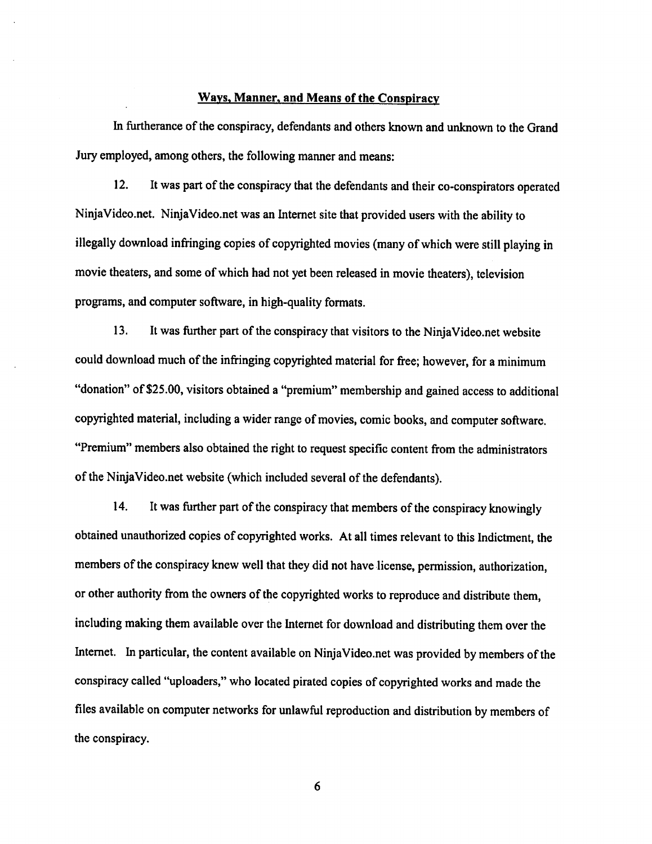## *Manner, and Means of the Conspiracy*

In furtherance of the conspiracy, defendants and others known and unknown to the Grand Jury employed, among others, the following manner and means:

12. It was part of the conspiracy that the defendants and their co-conspirators operated NinjaVideo.net. NinjaVideo.net was an Internet site that provided users with the ability to illegally download infringing copies of copyrighted movies (many of which were still playing in movie theaters, and some of which had not yet been released in movie theaters), television programs, and computer software, in high-quality formats.

13. It was further part of the conspiracy that visitors to the NinjaVideo.net website could download much of the infringing copyrighted material for free; however, for a minimum "donation" of \$25.00, visitors obtained a "premium" membership and gained access to additional copyrighted material, including a wider range of movies, comic books, and computer software. "Premium" members also obtained the right to request specific content from the administrators of the NinjaVideo.net website (which included several of the defendants).

14. It was further part of the conspiracy that members of the conspiracy knowingly obtained unauthorized copies of copyrighted works. At all times relevant to this Indictment, the members of the conspiracy knew well that they did not have license, permission, authorization, or other authority from the owners of the copyrighted works to reproduce and distribute them. including making them available over the Internet for download and distributing them over the Internet. In particular, the content available on NinjaVideo.net was provided by members of the conspiracy called "uploaders," who located pirated copies of copyrighted works and made the files available on computer networks for unlawful reproduction and distribution by members of the conspiracy.

6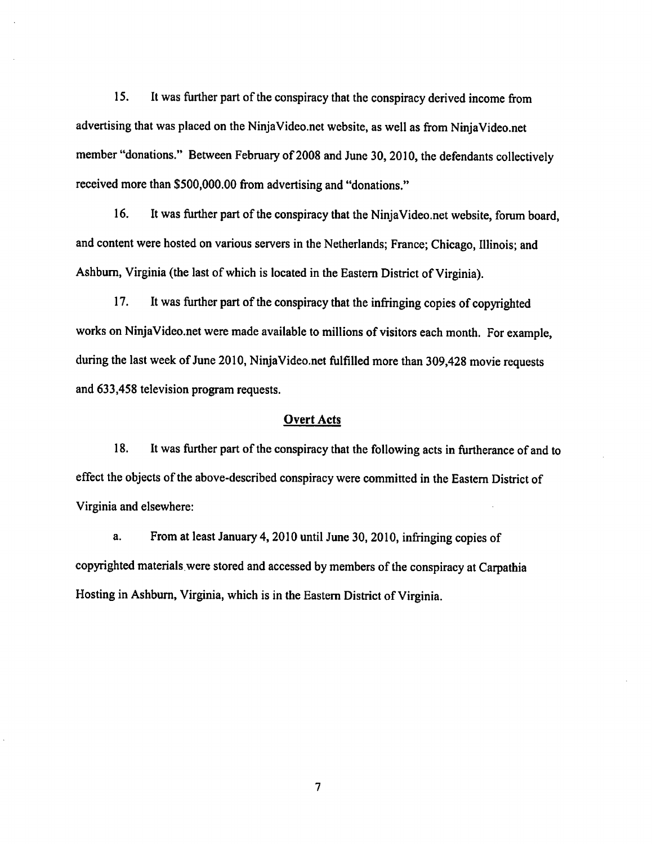15. It was further part of the conspiracy that the conspiracy derived income from advertising that was placed on the NinjaVideo.net website, as well as from NinjaVideo.net member "donations." Between February of 2008 and June 30, 2010, the defendants collectively received more than \$500,000.00 from advertising and "donations."

16. It was further part of the conspiracy that the NinjaVideo.net website, forum board, and content were hosted on various servers in the Netherlands; France; Chicago, Illinois; and Ashburn, Virginia (the last of which is located in the Eastern District of Virginia).

17. It was further part of the conspiracy that the infringing copies of copyrighted works on NinjaVideo.net were made available to millions of visitors each month. For example, during the last week of June 2010, NinjaVideo.net fulfilled more than 309,428 movie requests and 633,458 television program requests.

## *Overt Acts*

18. It was further part of the conspiracy that the following acts in furtherance of and to effect the objects of the above-described conspiracy were committed in the Eastern District of Virginia and elsewhere:

a. From at least January 4, 2010 until June 30, 2010, infringing copies of copyrighted materials were stored and accessed by members of the conspiracy at Carpathia Hosting in Ashburn, Virginia, which is in the Eastern District of Virginia.

 $\overline{7}$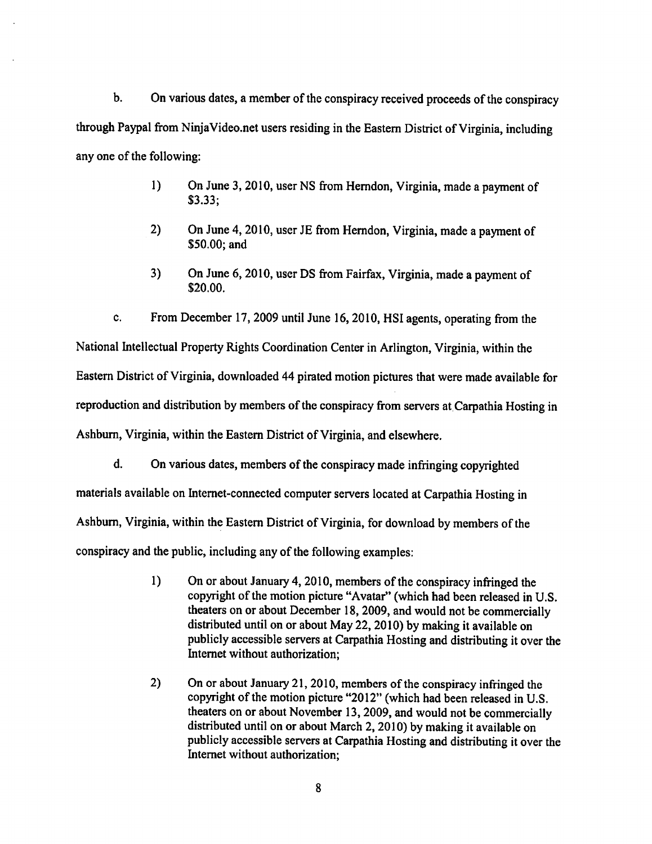$\mathbf b$ . On various dates, a member of the conspiracy received proceeds of the conspiracy through Paypal from NinjaVideo.net users residing in the Eastern District of Virginia, including any one of the following:

- 1) On June 3, 2010, user NS from Herndon, Virginia, made a payment of \$3.33;
- 2) On June 4, 2010, user JE from Herndon, Virginia, made a payment of \$50.00; and
- 3) On June 6, 2010, user DS from Fairfax, Virginia, made a payment of \$20.00.

c. From December 17, 2009 until June 16, 2010, HSI agents, operating from the National Intellectual Property Rights Coordination Center in Arlington, Virginia, within the Eastern District of Virginia, downloaded 44 pirated motion pictures that were made available for reproduction and distribution by members of the conspiracy from servers at Carpathia Hosting in Ashburn, Virginia, within the Eastern District of Virginia, and elsewhere.

d. Onvarious dates, members of the conspiracy made infringing copyrighted materials available on Internet-connected computer servers located at Carpathia Hosting in Ashburn, Virginia, within the Eastern District of Virginia, for download by members of the conspiracy and the public, including any of the following examples:

- 1) On or about January 4,2010, members of the conspiracy infringed the copyright of the motion picture "Avatar" (which had been released in U.S. theaters on or about December 18, 2009, and would not be commercially distributed until on or about May 22, 2010) by making it available on publicly accessible servers at Carpathia Hosting and distributing it over the Internet without authorization;
- 2) On or about January 21, 2010, members of the conspiracy infringed the copyright of the motion picture "2012" (which had been released in U.S. theaters on or about November 13, 2009, and would not be commercially distributed until on or about March 2, 2010) by making it available on publicly accessible servers at Carpathia Hosting and distributing it over the Internet without authorization;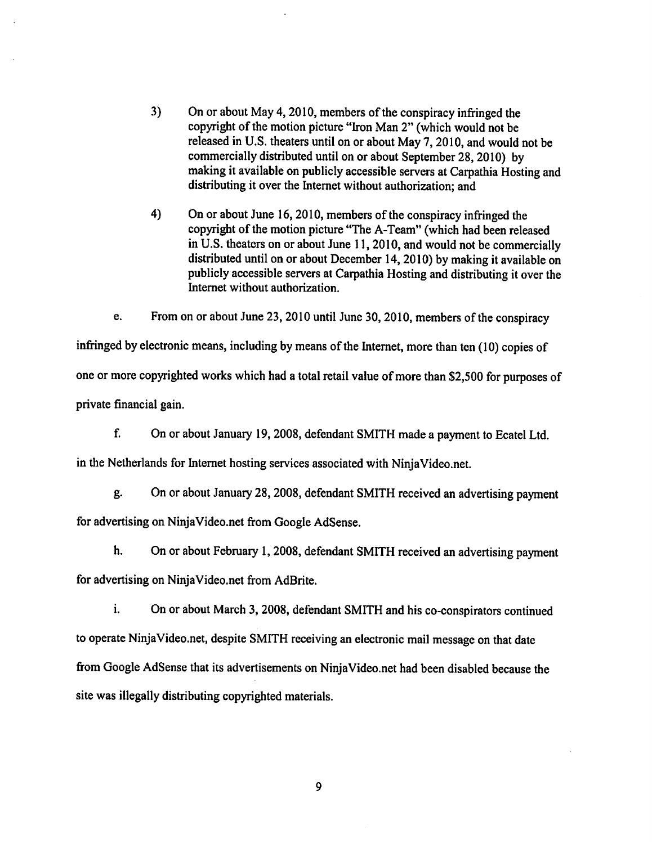- $3)$ On or about May 4, 2010, members of the conspiracy infringed the copyright of the motion picture "Iron Man 2" (which would not be released in U.S. theaters until on or about May 7, 2010, and would not be commercially distributed until on or about September 28, 2010) by making it available on publicly accessible servers at Carpathia Hosting and distributing it over the Internet without authorization; and
- 4) On or about June 16, 2010, members of the conspiracy infringed the copyright of the motion picture "The A-Team" (which had been released in U.S. theaters on or about June 11, 2010, and would not be commercially distributed until on or about December 14, 2010) by making it available on publicly accessible servers at Carpathia Hosting and distributing it over the Internet without authorization.

e. Fromon or about June 23,2010 until June 30,2010, members of the conspiracy infringed by electronic means, including by means of the Internet, more than ten (10) copies of one or more copyrighted works which had a total retail value of more than \$2,500 for purposes of private financial gain.

f. On or about January 19, 2008, defendant SMITH made a payment to Ecatel Ltd. in the Netherlands for Internet hosting services associated with NinjaVideo.net.

g. On or about January 28,2008, defendant SMITH received an advertising payment for advertising on NinjaVideo.net from Google AdSense.

h. On or about February 1, 2008, defendant SMITH received an advertising payment for advertising on NinjaVideo.net from AdBrite.

i. On or about March 3, 2008, defendant SMITH and his co-conspirators continued to operate NinjaVideo.net, despite SMITH receiving an electronic mail message on that date fromGoogle AdSense that its advertisements on NinjaVideo.net had been disabled because the site was illegally distributing copyrighted materials.

9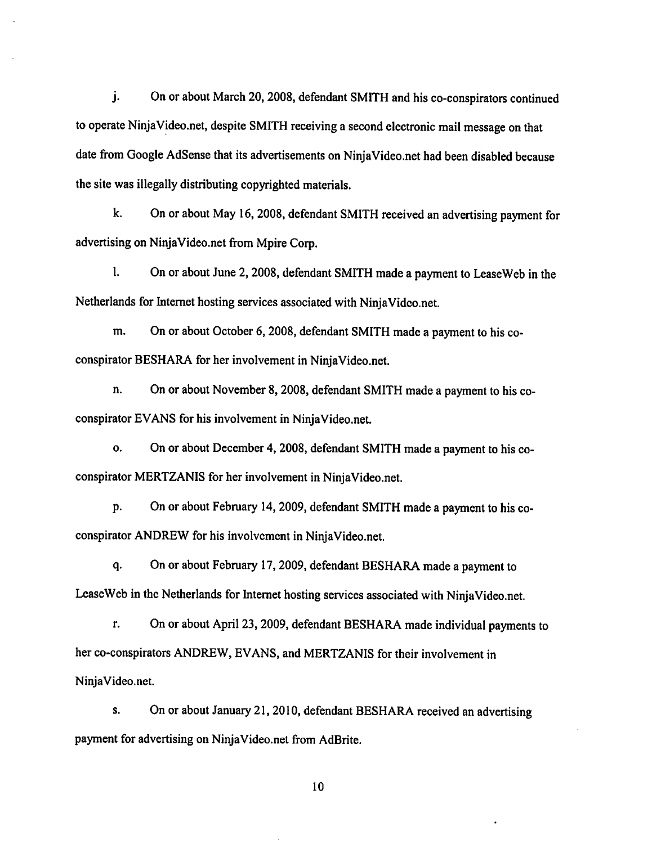$\mathbf{i}$ . On or about March 20, 2008, defendant SMITH and his co-conspirators continued to operate NinjaVideo.net, despite SMITH receiving a second electronic mail message onthat date from Google AdSense that its advertisements on NinjaVideo.net had been disabled because the site was illegally distributing copyrighted materials.

k. On or about May 16,2008, defendant SMITH received an advertising payment for advertising on NinjaVideo.net from Mpire Corp.

1. On or about June 2, 2008, defendant SMITH made a payment to LeaseWeb in the Netherlands for Internet hosting services associated with NinjaVideo.net.

m. On or about October 6, 2008, defendant SMITH made a payment to his coconspirator BESHARA for her involvement in NinjaVideo.net.

n. On or about November 8, 2008, defendant SMITH made a payment to his coconspirator EVANS for his involvement in NinjaVideo.net.

o. On or about December 4, 2008, defendant SMITH made a payment to his coconspirator MERTZANIS for her involvement in NinjaVideo.net.

p. On or about February 14, 2009, defendant SMITH made a payment to his coconspirator ANDREW for his involvement in NinjaVideo.net.

q. Onor about February 17,2009, defendant BESHARA made a payment to LeaseWeb in the Netherlands for Internet hosting services associated with NinjaVideo.net.

r. On or about April 23, 2009, defendant BESHARA made individual payments to her co-conspirators ANDREW, EVANS, and MERTZANIS for their involvement in NinjaVideo.net.

s. On or about January 21, 2010, defendant BESHARA received an advertising payment for advertising on NinjaVideo.net from AdBrite.

10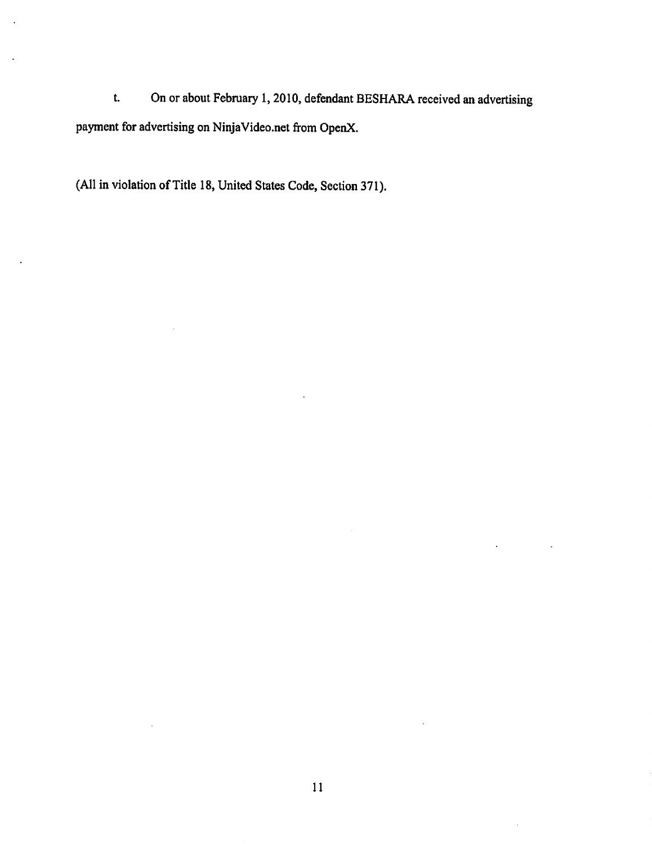On or about February 1, 2010, defendant BESHARA received an advertising  $t$ . payment for advertising on NinjaVideo.net from OpenX.

(All in violation of Title 18, United States Code, Section 371).

 $\mathcal{L}_{\mathcal{A}}$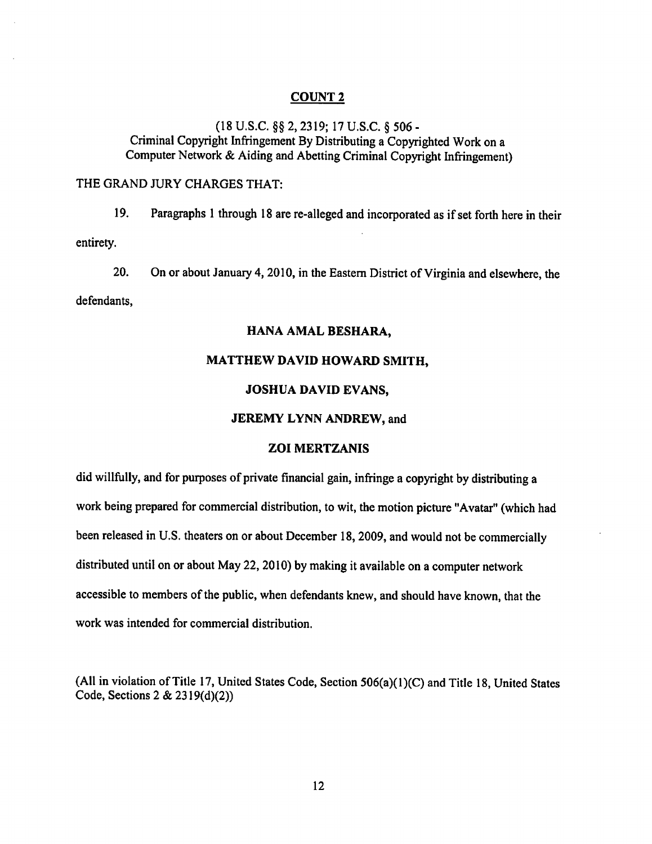(18 U.S.C. §§ 2,2319; 17 U.S.C. § 506 - Criminal Copyright Infringement ByDistributing a Copyrighted Work on a Computer Network & Aiding and Abetting Criminal Copyright Infringement)

#### THE GRAND JURY CHARGES THAT:

19. Paragraphs 1 through 18are re-alleged and incorporated as if set forth here in their entirety.

20. On or about January 4, 2010, in the Eastern District of Virginia and elsewhere, the

defendants,

#### *HANA AMAL BESHARA,*

## *MATTHEW DAVID HOWARD SMITH,*

### *JOSHUA DAVID EVANS,*

## *JEREMY LYNN ANDREW,* and

#### *ZOI MERTZANIS*

did willfully, and for purposes of private financial gain, infringe a copyright by distributing a work being prepared for commercial distribution, to wit, the motion picture "Avatar" (which had been released in U.S. theaters on or about December 18, 2009, and would not be commercially distributed until on or about May 22, 2010) by making it available on a computer network accessible to members of the public, when defendants knew, and should have known, that the work was intended for commercial distribution.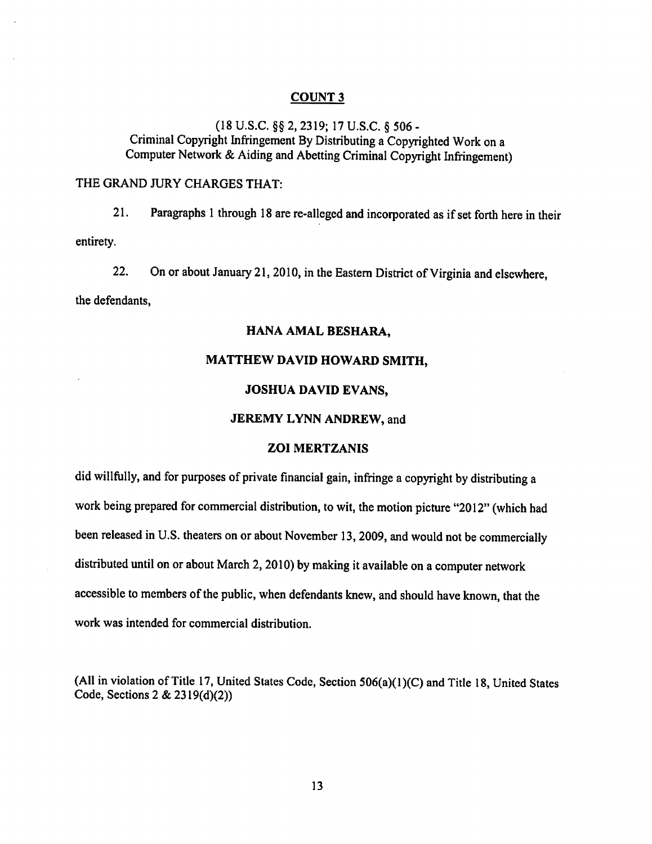#### COUNT 3

(18 U.S.C. §§ 2,2319; 17 U.S.C. § 506 - Criminal Copyright Infringement By Distributing a Copyrighted Work ona Computer Network & Aiding and Abetting Criminal Copyright Infringement)

#### THE GRAND JURY CHARGES THAT:

21. Paragraphs 1 through 18 are re-alleged and incorporated as if set forth here in their entirety.

22. On or about January 21,2010, in the Eastern District of Virginia and elsewhere,

the defendants,

#### *HANA AMAL BESHARA,*

#### *MATTHEW DAVID HOWARD SMITH,*

### *JOSHUA DAVID EVANS,*

#### *JEREMY LYNN ANDREW,* and

#### *ZOI MERTZANIS*

did willfully, and for purposes of private financial gain, infringe a copyright by distributing a work being prepared for commercial distribution, towit, the motion picture "2012" (which had been released in U.S. theaters on or about November 13, 2009, and would not be commercially distributed until on or about March 2, 2010) by making it available on a computer network accessible to members of the public, when defendants knew, and should have known, that the work was intended for commercial distribution.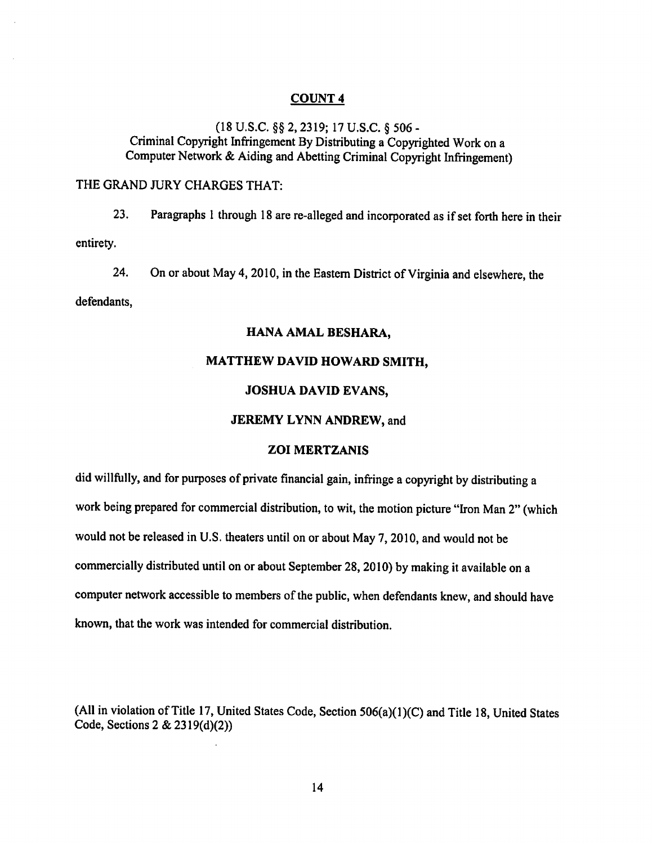(18 U.S.C. §§ 2,2319; 17 U.S.C. § 506 - Criminal Copyright Infringement ByDistributing a Copyrighted Work on a Computer Network & Aiding and Abetting Criminal Copyright Infringement)

### THE GRAND JURY CHARGES THAT:

23. Paragraphs 1 through 18are re-alleged and incorporated as if set forth here in their entirety.

24. On or about May 4, 2010, in the Eastern District of Virginia and elsewhere, the

defendants,

## *HANA AMAL BESHARA,*

## *MATTHEW DAVID HOWARD SMITH,*

#### *JOSHUA DAVID EVANS,*

#### *JEREMY LYNN ANDREW,* and

# *ZOI MERTZANIS*

did willfully, and for purposes of private financial gain, infringe a copyright by distributing a work being prepared for commercial distribution, to wit, the motion picture "Iron Man 2"(which would not be released in U.S. theaters until on or about May 7, 2010, and would not be commercially distributed until on or about September 28, 2010) by making it available on a computer network accessible to members of the public, when defendants knew, and should have known, that the work was intended for commercial distribution.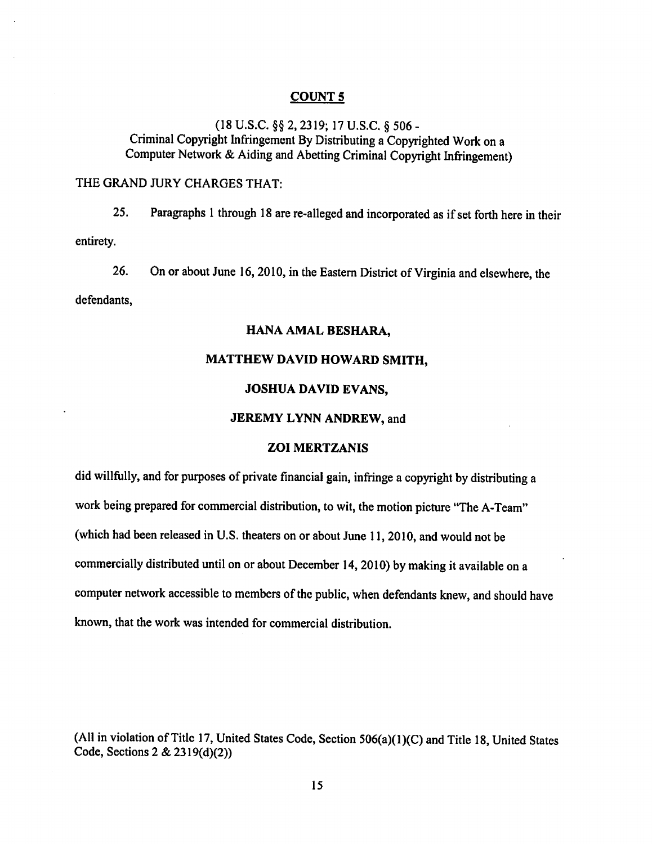(18 U.S.C. §§ 2,2319; 17 U.S.C. § 506 - Criminal Copyright Infringement By Distributing a Copyrighted Work ona Computer Network & Aiding and Abetting Criminal Copyright Infringement)

## THE GRAND JURY CHARGES THAT:

25. Paragraphs 1 through 18 are re-alleged and incorporated as if set forth here in their entirety.

26. On or about June 16,2010, in the Eastern District of Virginia and elsewhere, the

defendants,

## *HANA AMAL BESHARA,*

#### *MATTHEW DAVID HOWARD SMITH,*

#### *JOSHUA DAVID EVANS,*

#### *JEREMY LYNN ANDREW,* and

## *ZOI MERTZANIS*

did willfully, and for purposes of private financial gain, infringe a copyright by distributing a work being prepared for commercial distribution, to wit, the motion picture "The A-Team" (which had been released in U.S. theaters on or about June 11, 2010, and would not be commercially distributed until on or about December 14, 2010) by making it available on a computer network accessible to members of the public, when defendants knew, and should have known, that the work was intended for commercial distribution.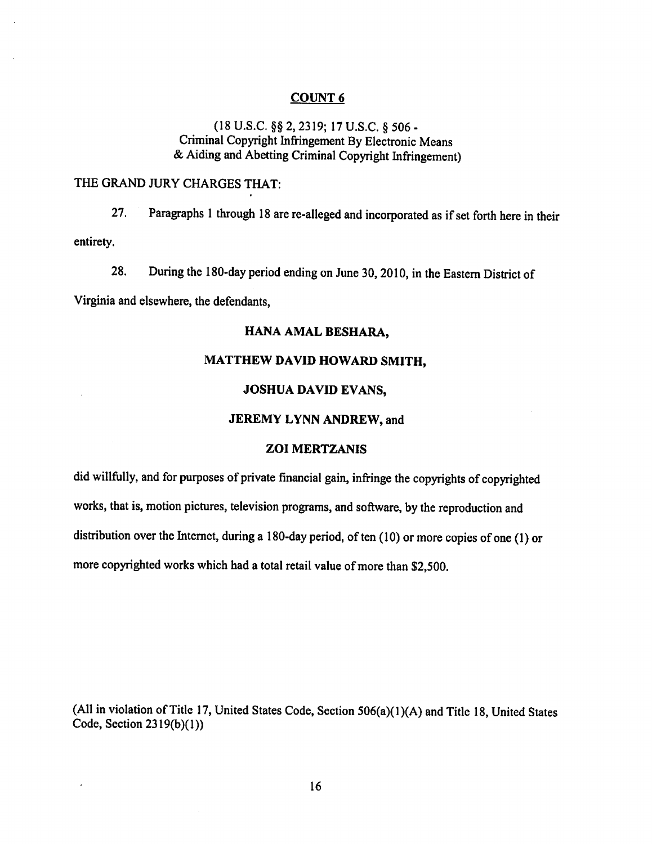# (18 U.S.C. §§ 2,2319; 17 U.S.C. § 506 - Criminal Copyright Infringement By Electronic Means & Aiding and Abetting Criminal Copyright Infringement)

# THE GRAND JURY CHARGES THAT:

27. Paragraphs 1 through 18 are re-alleged and incorporated as if set forth here in their entirety.

28. During the 180-day period ending on June 30,2010, in the Eastern District of

Virginia and elsewhere, the defendants,

## *HANA AMAL BESHARA,*

## *MATTHEW DAVID HOWARD SMITH,*

### *JOSHUA DAVID EVANS,*

#### *JEREMY LYNN ANDREW,* and

## *ZOI MERTZANIS*

did willfully, and for purposes of private financial gain, infringe the copyrights of copyrighted works, that is, motion pictures, television programs, and software, bythe reproduction and distribution over the Internet, during a 180-day period, of ten  $(10)$  or more copies of one  $(1)$  or more copyrighted works which had a total retail value of more than \$2,500.